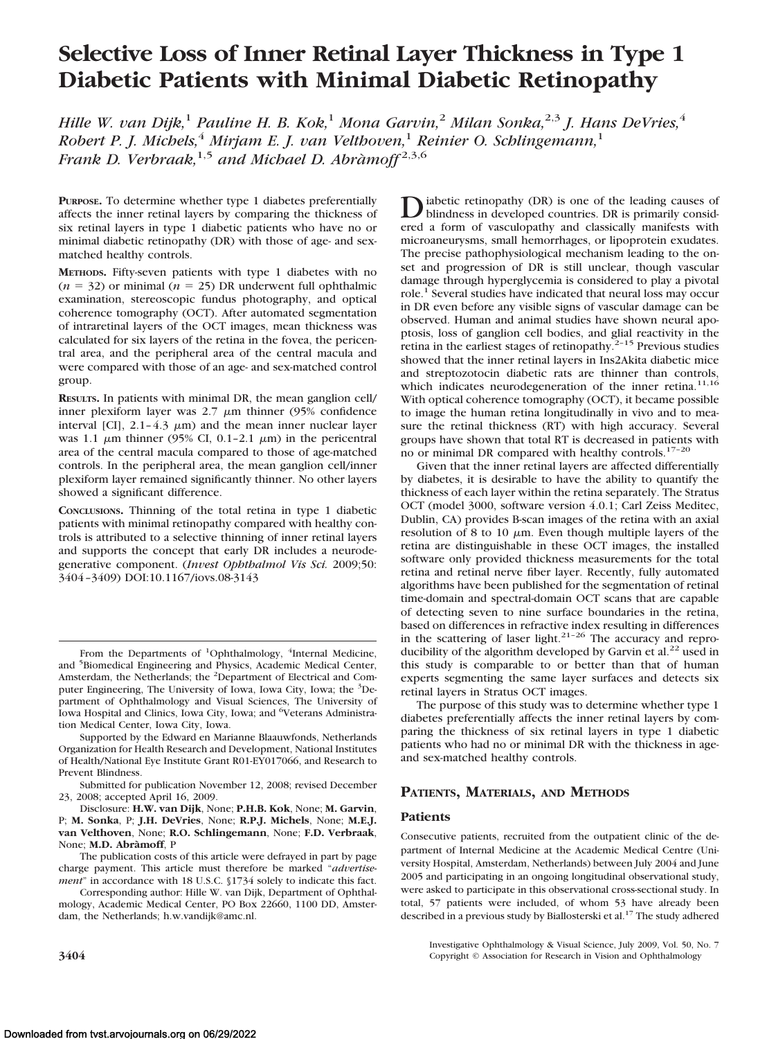# **Selective Loss of Inner Retinal Layer Thickness in Type 1 Diabetic Patients with Minimal Diabetic Retinopathy**

*Hille W. van Dijk,*<sup>1</sup> *Pauline H. B. Kok,*<sup>1</sup> *Mona Garvin,*<sup>2</sup> *Milan Sonka,*2,3 *J. Hans DeVries,*<sup>4</sup> *Robert P. J. Michels,*<sup>4</sup> *Mirjam E. J. van Velthoven,*<sup>1</sup> *Reinier O. Schlingemann,*<sup>1</sup> *Frank D. Verbraak,*1,5 *and Michael D. Abra`moff* 2,3,6

**PURPOSE.** To determine whether type 1 diabetes preferentially affects the inner retinal layers by comparing the thickness of six retinal layers in type 1 diabetic patients who have no or minimal diabetic retinopathy (DR) with those of age- and sexmatched healthy controls.

**METHODS.** Fifty-seven patients with type 1 diabetes with no  $(n = 32)$  or minimal  $(n = 25)$  DR underwent full ophthalmic examination, stereoscopic fundus photography, and optical coherence tomography (OCT). After automated segmentation of intraretinal layers of the OCT images, mean thickness was calculated for six layers of the retina in the fovea, the pericentral area, and the peripheral area of the central macula and were compared with those of an age- and sex-matched control group.

**RESULTS.** In patients with minimal DR, the mean ganglion cell/ inner plexiform layer was  $2.7 \mu m$  thinner (95% confidence interval [CI],  $2.1 - 4.3 \mu m$ ) and the mean inner nuclear layer was 1.1  $\mu$ m thinner (95% CI, 0.1-2.1  $\mu$ m) in the pericentral area of the central macula compared to those of age-matched controls. In the peripheral area, the mean ganglion cell/inner plexiform layer remained significantly thinner. No other layers showed a significant difference.

**CONCLUSIONS.** Thinning of the total retina in type 1 diabetic patients with minimal retinopathy compared with healthy controls is attributed to a selective thinning of inner retinal layers and supports the concept that early DR includes a neurodegenerative component. (*Invest Ophthalmol Vis Sci.* 2009;50: 3404 –3409) DOI:10.1167/iovs.08-3143

Supported by the Edward en Marianne Blaauwfonds, Netherlands Organization for Health Research and Development, National Institutes of Health/National Eye Institute Grant R01-EY017066, and Research to Prevent Blindness.

Submitted for publication November 12, 2008; revised December 23, 2008; accepted April 16, 2009.

Disclosure: **H.W. van Dijk**, None; **P.H.B. Kok**, None; **M. Garvin**, P; **M. Sonka**, P; **J.H. DeVries**, None; **R.P.J. Michels**, None; **M.E.J. van Velthoven**, None; **R.O. Schlingemann**, None; **F.D. Verbraak**, None; **M.D. Abra`moff**, P

The publication costs of this article were defrayed in part by page charge payment. This article must therefore be marked "*advertisement*" in accordance with 18 U.S.C. §1734 solely to indicate this fact.

Corresponding author: Hille W. van Dijk, Department of Ophthalmology, Academic Medical Center, PO Box 22660, 1100 DD, Amsterdam, the Netherlands; h.w.vandijk@amc.nl.

D iabetic retinopathy (DR) is one of the leading causes of<br>blindness in developed countries. DR is primarily considered<br>and a fame is presented and also<br>calculated with ered a form of vasculopathy and classically manifests with microaneurysms, small hemorrhages, or lipoprotein exudates. The precise pathophysiological mechanism leading to the onset and progression of DR is still unclear, though vascular damage through hyperglycemia is considered to play a pivotal role.<sup>1</sup> Several studies have indicated that neural loss may occur in DR even before any visible signs of vascular damage can be observed. Human and animal studies have shown neural apoptosis, loss of ganglion cell bodies, and glial reactivity in the retina in the earliest stages of retinopathy.<sup>2-15</sup> Previous studies showed that the inner retinal layers in Ins2Akita diabetic mice and streptozotocin diabetic rats are thinner than controls, which indicates neurodegeneration of the inner retina.<sup>11,16</sup> With optical coherence tomography (OCT), it became possible to image the human retina longitudinally in vivo and to measure the retinal thickness (RT) with high accuracy. Several groups have shown that total RT is decreased in patients with no or minimal DR compared with healthy controls.17–20

Given that the inner retinal layers are affected differentially by diabetes, it is desirable to have the ability to quantify the thickness of each layer within the retina separately. The Stratus OCT (model 3000, software version 4.0.1; Carl Zeiss Meditec, Dublin, CA) provides B-scan images of the retina with an axial resolution of 8 to 10  $\mu$ m. Even though multiple layers of the retina are distinguishable in these OCT images, the installed software only provided thickness measurements for the total retina and retinal nerve fiber layer. Recently, fully automated algorithms have been published for the segmentation of retinal time-domain and spectral-domain OCT scans that are capable of detecting seven to nine surface boundaries in the retina, based on differences in refractive index resulting in differences in the scattering of laser light. $21-26$  The accuracy and reproducibility of the algorithm developed by Garvin et al.<sup>22</sup> used in this study is comparable to or better than that of human experts segmenting the same layer surfaces and detects six retinal layers in Stratus OCT images.

The purpose of this study was to determine whether type 1 diabetes preferentially affects the inner retinal layers by comparing the thickness of six retinal layers in type 1 diabetic patients who had no or minimal DR with the thickness in ageand sex-matched healthy controls.

## **PATIENTS, MATERIALS, AND METHODS**

### **Patients**

Consecutive patients, recruited from the outpatient clinic of the department of Internal Medicine at the Academic Medical Centre (University Hospital, Amsterdam, Netherlands) between July 2004 and June 2005 and participating in an ongoing longitudinal observational study, were asked to participate in this observational cross-sectional study. In total, 57 patients were included, of whom 53 have already been described in a previous study by Biallosterski et al.<sup>17</sup> The study adhered

Investigative Ophthalmology & Visual Science, July 2009, Vol. 50, No. 7 **3404** Copyright © Association for Research in Vision and Ophthalmology

From the Departments of <sup>1</sup>Ophthalmology, <sup>4</sup>Internal Medicine, and <sup>5</sup>Biomedical Engineering and Physics, Academic Medical Center, Amsterdam, the Netherlands; the <sup>2</sup>Department of Electrical and Computer Engineering, The University of Iowa, Iowa City, Iowa; the <sup>3</sup>Department of Ophthalmology and Visual Sciences, The University of Iowa Hospital and Clinics, Iowa City, Iowa; and <sup>6</sup>Veterans Administration Medical Center, Iowa City, Iowa.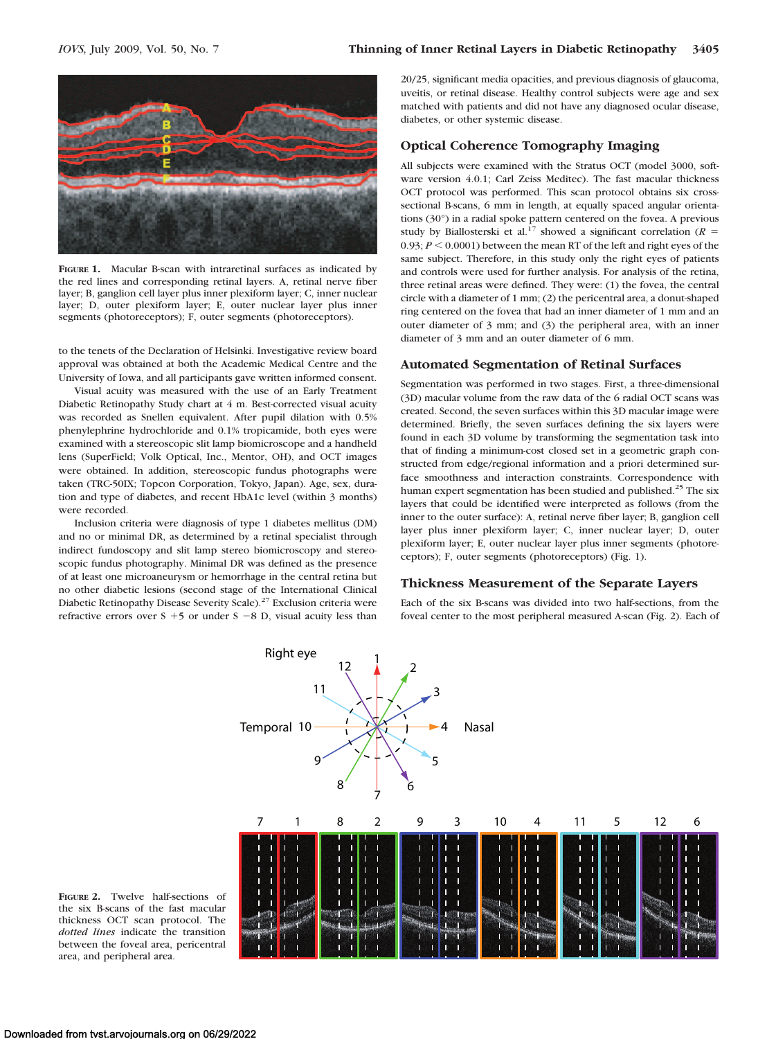

**FIGURE 1.** Macular B-scan with intraretinal surfaces as indicated by the red lines and corresponding retinal layers. A, retinal nerve fiber layer; B, ganglion cell layer plus inner plexiform layer; C, inner nuclear layer; D, outer plexiform layer; E, outer nuclear layer plus inner segments (photoreceptors); F, outer segments (photoreceptors).

to the tenets of the Declaration of Helsinki. Investigative review board approval was obtained at both the Academic Medical Centre and the University of Iowa, and all participants gave written informed consent.

Visual acuity was measured with the use of an Early Treatment Diabetic Retinopathy Study chart at 4 m. Best-corrected visual acuity was recorded as Snellen equivalent. After pupil dilation with 0.5% phenylephrine hydrochloride and 0.1% tropicamide, both eyes were examined with a stereoscopic slit lamp biomicroscope and a handheld lens (SuperField; Volk Optical, Inc., Mentor, OH), and OCT images were obtained. In addition, stereoscopic fundus photographs were taken (TRC-50IX; Topcon Corporation, Tokyo, Japan). Age, sex, duration and type of diabetes, and recent HbA1c level (within 3 months) were recorded.

Inclusion criteria were diagnosis of type 1 diabetes mellitus (DM) and no or minimal DR, as determined by a retinal specialist through indirect fundoscopy and slit lamp stereo biomicroscopy and stereoscopic fundus photography. Minimal DR was defined as the presence of at least one microaneurysm or hemorrhage in the central retina but no other diabetic lesions (second stage of the International Clinical Diabetic Retinopathy Disease Severity Scale).<sup>27</sup> Exclusion criteria were refractive errors over  $S + 5$  or under  $S - 8$  D, visual acuity less than

20/25, significant media opacities, and previous diagnosis of glaucoma, uveitis, or retinal disease. Healthy control subjects were age and sex matched with patients and did not have any diagnosed ocular disease, diabetes, or other systemic disease.

## **Optical Coherence Tomography Imaging**

All subjects were examined with the Stratus OCT (model 3000, software version 4.0.1; Carl Zeiss Meditec). The fast macular thickness OCT protocol was performed. This scan protocol obtains six crosssectional B-scans, 6 mm in length, at equally spaced angular orientations (30°) in a radial spoke pattern centered on the fovea. A previous study by Biallosterski et al.<sup>17</sup> showed a significant correlation ( $R =$  $0.93; P \le 0.0001$ ) between the mean RT of the left and right eyes of the same subject. Therefore, in this study only the right eyes of patients and controls were used for further analysis. For analysis of the retina, three retinal areas were defined. They were: (1) the fovea, the central circle with a diameter of 1 mm; (2) the pericentral area, a donut-shaped ring centered on the fovea that had an inner diameter of 1 mm and an outer diameter of 3 mm; and (3) the peripheral area, with an inner diameter of 3 mm and an outer diameter of 6 mm.

### **Automated Segmentation of Retinal Surfaces**

Segmentation was performed in two stages. First, a three-dimensional (3D) macular volume from the raw data of the 6 radial OCT scans was created. Second, the seven surfaces within this 3D macular image were determined. Briefly, the seven surfaces defining the six layers were found in each 3D volume by transforming the segmentation task into that of finding a minimum-cost closed set in a geometric graph constructed from edge/regional information and a priori determined surface smoothness and interaction constraints. Correspondence with human expert segmentation has been studied and published.<sup>25</sup> The six layers that could be identified were interpreted as follows (from the inner to the outer surface): A, retinal nerve fiber layer; B, ganglion cell layer plus inner plexiform layer; C, inner nuclear layer; D, outer plexiform layer; E, outer nuclear layer plus inner segments (photoreceptors); F, outer segments (photoreceptors) (Fig. 1).

### **Thickness Measurement of the Separate Layers**

Each of the six B-scans was divided into two half-sections, from the foveal center to the most peripheral measured A-scan (Fig. 2). Each of



**FIGURE 2.** Twelve half-sections of the six B-scans of the fast macular thickness OCT scan protocol. The *dotted lines* indicate the transition between the foveal area, pericentral area, and peripheral area.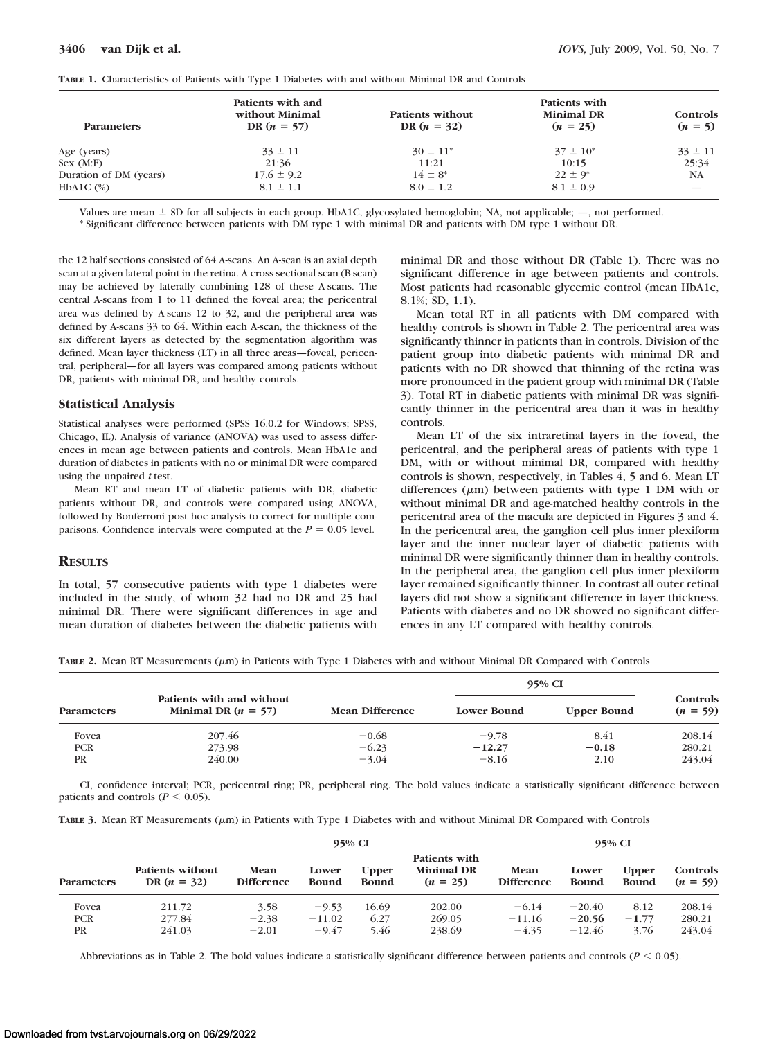| <b>Parameters</b>      | Patients with and<br>without Minimal<br>DR $(n = 57)$ | <b>Patients without</b><br>DR $(n = 32)$ | Patients with<br><b>Minimal DR</b><br>$(n = 25)$ | Controls<br>$(n = 5)$ |  |
|------------------------|-------------------------------------------------------|------------------------------------------|--------------------------------------------------|-----------------------|--|
| Age (years)            | $33 \pm 11$                                           | $30 \pm 11^*$                            | $37 \pm 10^*$                                    | $33 \pm 11$           |  |
| Sex (M:F)              | 21:36                                                 | 11:21                                    | 10:15                                            | 25:34                 |  |
| Duration of DM (years) | $17.6 \pm 9.2$                                        | $14 \pm 8^*$                             | $22 \pm 9^*$                                     | <b>NA</b>             |  |
| HbA1C $(\%)$           | $8.1 \pm 1.1$                                         | $8.0 \pm 1.2$                            | $8.1 \pm 0.9$                                    |                       |  |

**TABLE 1.** Characteristics of Patients with Type 1 Diabetes with and without Minimal DR and Controls

Values are mean  $\pm$  SD for all subjects in each group. HbA1C, glycosylated hemoglobin; NA, not applicable;  $-$ , not performed.

\* Significant difference between patients with DM type 1 with minimal DR and patients with DM type 1 without DR.

the 12 half sections consisted of 64 A-scans. An A-scan is an axial depth scan at a given lateral point in the retina. A cross-sectional scan (B-scan) may be achieved by laterally combining 128 of these A-scans. The central A-scans from 1 to 11 defined the foveal area; the pericentral area was defined by A-scans 12 to 32, and the peripheral area was defined by A-scans 33 to 64. Within each A-scan, the thickness of the six different layers as detected by the segmentation algorithm was defined. Mean layer thickness (LT) in all three areas—foveal, pericentral, peripheral—for all layers was compared among patients without DR, patients with minimal DR, and healthy controls.

#### **Statistical Analysis**

Statistical analyses were performed (SPSS 16.0.2 for Windows; SPSS, Chicago, IL). Analysis of variance (ANOVA) was used to assess differences in mean age between patients and controls. Mean HbA1c and duration of diabetes in patients with no or minimal DR were compared using the unpaired *t*-test.

Mean RT and mean LT of diabetic patients with DR, diabetic patients without DR, and controls were compared using ANOVA, followed by Bonferroni post hoc analysis to correct for multiple comparisons. Confidence intervals were computed at the  $P = 0.05$  level.

## **RESULTS**

In total, 57 consecutive patients with type 1 diabetes were included in the study, of whom 32 had no DR and 25 had minimal DR. There were significant differences in age and mean duration of diabetes between the diabetic patients with minimal DR and those without DR (Table 1). There was no significant difference in age between patients and controls. Most patients had reasonable glycemic control (mean HbA1c, 8.1%; SD, 1.1).

Mean total RT in all patients with DM compared with healthy controls is shown in Table 2. The pericentral area was significantly thinner in patients than in controls. Division of the patient group into diabetic patients with minimal DR and patients with no DR showed that thinning of the retina was more pronounced in the patient group with minimal DR (Table 3). Total RT in diabetic patients with minimal DR was significantly thinner in the pericentral area than it was in healthy controls.

Mean LT of the six intraretinal layers in the foveal, the pericentral, and the peripheral areas of patients with type 1 DM, with or without minimal DR, compared with healthy controls is shown, respectively, in Tables 4, 5 and 6. Mean LT differences  $(\mu m)$  between patients with type 1 DM with or without minimal DR and age-matched healthy controls in the pericentral area of the macula are depicted in Figures 3 and 4. In the pericentral area, the ganglion cell plus inner plexiform layer and the inner nuclear layer of diabetic patients with minimal DR were significantly thinner than in healthy controls. In the peripheral area, the ganglion cell plus inner plexiform layer remained significantly thinner. In contrast all outer retinal layers did not show a significant difference in layer thickness. Patients with diabetes and no DR showed no significant differences in any LT compared with healthy controls.

**TABLE 2.** Mean RT Measurements ( $\mu$ m) in Patients with Type 1 Diabetes with and without Minimal DR Compared with Controls

|                   |                                                    |                                       |          | 95% CI             |                        |  |
|-------------------|----------------------------------------------------|---------------------------------------|----------|--------------------|------------------------|--|
| <b>Parameters</b> | Patients with and without<br>Minimal DR $(n = 57)$ | <b>Mean Difference</b><br>Lower Bound |          | <b>Upper Bound</b> | Controls<br>$(n = 59)$ |  |
| Fovea             | 207.46                                             | $-0.68$                               | $-9.78$  | 8.41               | 208.14                 |  |
| <b>PCR</b>        | 273.98                                             | $-6.23$                               | $-12.27$ | $-0.18$            | 280.21                 |  |
| <b>PR</b>         | 240.00                                             | $-3.04$                               | $-8.16$  | 2.10               | 243.04                 |  |

CI, confidence interval; PCR, pericentral ring; PR, peripheral ring. The bold values indicate a statistically significant difference between patients and controls ( $P \leq 0.05$ ).

|                                  |                                   |                            | 95% CI                         |                              |                                                  | 95% CI                           |                                  |                              |                            |
|----------------------------------|-----------------------------------|----------------------------|--------------------------------|------------------------------|--------------------------------------------------|----------------------------------|----------------------------------|------------------------------|----------------------------|
| <b>Parameters</b>                | Patients without<br>DR $(n = 32)$ | Mean<br>Difference         | Lower<br><b>Bound</b>          | <b>Upper</b><br><b>Bound</b> | Patients with<br><b>Minimal DR</b><br>$(n = 25)$ | <b>Mean</b><br><b>Difference</b> | Lower<br><b>Bound</b>            | <b>Upper</b><br><b>Bound</b> | Controls<br>$(n = 59)$     |
| Fovea<br><b>PCR</b><br><b>PR</b> | 211.72<br>277.84<br>241.03        | 3.58<br>$-2.38$<br>$-2.01$ | $-9.53$<br>$-11.02$<br>$-9.47$ | 16.69<br>6.27<br>5.46        | 202.00<br>269.05<br>238.69                       | $-6.14$<br>$-11.16$<br>$-4.35$   | $-20.40$<br>$-20.56$<br>$-12.46$ | 8.12<br>$-1.77$<br>3.76      | 208.14<br>280.21<br>243.04 |

Abbreviations as in Table 2. The bold values indicate a statistically significant difference between patients and controls ( $P < 0.05$ ).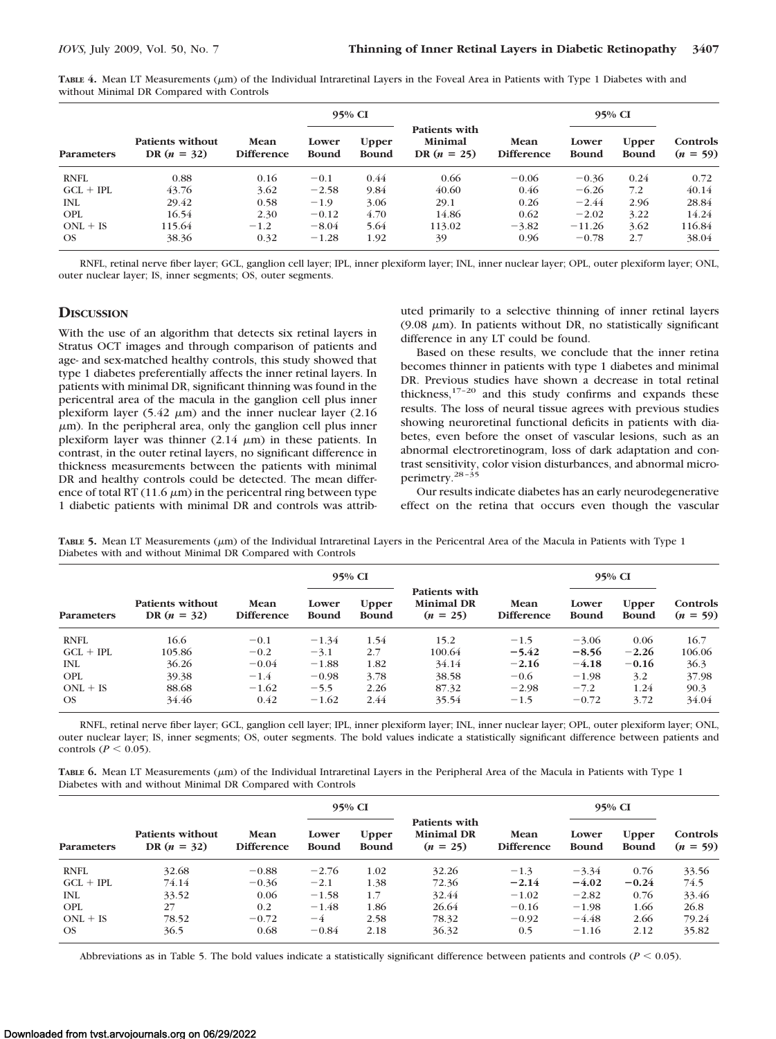**TABLE 4.** Mean LT Measurements (m) of the Individual Intraretinal Layers in the Foveal Area in Patients with Type 1 Diabetes with and without Minimal DR Compared with Controls

|                   |                                   |                           | 95% CI                |                              |                                           |                                  | 95% CI                |                              |                        |
|-------------------|-----------------------------------|---------------------------|-----------------------|------------------------------|-------------------------------------------|----------------------------------|-----------------------|------------------------------|------------------------|
| <b>Parameters</b> | Patients without<br>DR $(n = 32)$ | Mean<br><b>Difference</b> | Lower<br><b>Bound</b> | <b>Upper</b><br><b>Bound</b> | Patients with<br>Minimal<br>DR $(n = 25)$ | <b>Mean</b><br><b>Difference</b> | Lower<br><b>Bound</b> | <b>Upper</b><br><b>Bound</b> | Controls<br>$(n = 59)$ |
| <b>RNFL</b>       | 0.88                              | 0.16                      | $-0.1$                | 0.44                         | 0.66                                      | $-0.06$                          | $-0.36$               | 0.24                         | 0.72                   |
| $GCL + IPL$       | 43.76                             | 3.62                      | $-2.58$               | 9.84                         | 40.60                                     | 0.46                             | $-6.26$               | 7.2                          | 40.14                  |
| <b>INL</b>        | 29.42                             | 0.58                      | $-1.9$                | 3.06                         | 29.1                                      | 0.26                             | $-2.44$               | 2.96                         | 28.84                  |
| <b>OPL</b>        | 16.54                             | 2.30                      | $-0.12$               | 4.70                         | 14.86                                     | 0.62                             | $-2.02$               | 3.22                         | 14.24                  |
| $ONL + IS$        | 115.64                            | $-1.2$                    | $-8.04$               | 5.64                         | 113.02                                    | $-3.82$                          | $-11.26$              | 3.62                         | 116.84                 |
| <b>OS</b>         | 38.36                             | 0.32                      | $-1.28$               | 1.92                         | 39                                        | 0.96                             | $-0.78$               | 2.7                          | 38.04                  |

RNFL, retinal nerve fiber layer; GCL, ganglion cell layer; IPL, inner plexiform layer; INL, inner nuclear layer; OPL, outer plexiform layer; ONL, outer nuclear layer; IS, inner segments; OS, outer segments.

## **DISCUSSION**

With the use of an algorithm that detects six retinal layers in Stratus OCT images and through comparison of patients and age- and sex-matched healthy controls, this study showed that type 1 diabetes preferentially affects the inner retinal layers. In patients with minimal DR, significant thinning was found in the pericentral area of the macula in the ganglion cell plus inner plexiform layer (5.42  $\mu$ m) and the inner nuclear layer (2.16  $\mu$ m). In the peripheral area, only the ganglion cell plus inner plexiform layer was thinner  $(2.14 \mu m)$  in these patients. In contrast, in the outer retinal layers, no significant difference in thickness measurements between the patients with minimal DR and healthy controls could be detected. The mean difference of total RT (11.6  $\mu$ m) in the pericentral ring between type 1 diabetic patients with minimal DR and controls was attributed primarily to a selective thinning of inner retinal layers (9.08  $\mu$ m). In patients without DR, no statistically significant difference in any LT could be found.

Based on these results, we conclude that the inner retina becomes thinner in patients with type 1 diabetes and minimal DR. Previous studies have shown a decrease in total retinal thickness,<sup>17-20</sup> and this study confirms and expands these results. The loss of neural tissue agrees with previous studies showing neuroretinal functional deficits in patients with diabetes, even before the onset of vascular lesions, such as an abnormal electroretinogram, loss of dark adaptation and contrast sensitivity, color vision disturbances, and abnormal microperimetry.28 –35

Our results indicate diabetes has an early neurodegenerative effect on the retina that occurs even though the vascular

**TABLE 5.** Mean LT Measurements (m) of the Individual Intraretinal Layers in the Pericentral Area of the Macula in Patients with Type 1 Diabetes with and without Minimal DR Compared with Controls

|                   |                                          |                           | 95% CI                |                              |                                                  |                           | 95% CI                |                              |                        |
|-------------------|------------------------------------------|---------------------------|-----------------------|------------------------------|--------------------------------------------------|---------------------------|-----------------------|------------------------------|------------------------|
| <b>Parameters</b> | <b>Patients without</b><br>DR $(n = 32)$ | Mean<br><b>Difference</b> | Lower<br><b>Bound</b> | <b>Upper</b><br><b>Bound</b> | Patients with<br><b>Minimal DR</b><br>$(n = 25)$ | Mean<br><b>Difference</b> | Lower<br><b>Bound</b> | <b>Upper</b><br><b>Bound</b> | Controls<br>$(n = 59)$ |
| <b>RNFL</b>       | 16.6                                     | $-0.1$                    | $-1.34$               | 1.54                         | 15.2                                             | $-1.5$                    | $-3.06$               | 0.06                         | 16.7                   |
| $GCL + IPL$       | 105.86                                   | $-0.2$                    | $-3.1$                | 2.7                          | 100.64                                           | $-5.42$                   | $-8.56$               | $-2.26$                      | 106.06                 |
| <b>INL</b>        | 36.26                                    | $-0.04$                   | $-1.88$               | 1.82                         | 34.14                                            | $-2.16$                   | $-4.18$               | $-0.16$                      | 36.3                   |
| <b>OPL</b>        | 39.38                                    | $-1.4$                    | $-0.98$               | 3.78                         | 38.58                                            | $-0.6$                    | $-1.98$               | 3.2                          | 37.98                  |
| $ONL + IS$        | 88.68                                    | $-1.62$                   | $-5.5$                | 2.26                         | 87.32                                            | $-2.98$                   | $-7.2$                | 1.24                         | 90.3                   |
| <b>OS</b>         | 34.46                                    | 0.42                      | $-1.62$               | 2.44                         | 35.54                                            | $-1.5$                    | $-0.72$               | 3.72                         | 34.04                  |

RNFL, retinal nerve fiber layer; GCL, ganglion cell layer; IPL, inner plexiform layer; INL, inner nuclear layer; OPL, outer plexiform layer; ONL, outer nuclear layer; IS, inner segments; OS, outer segments. The bold values indicate a statistically significant difference between patients and controls ( $P \leq 0.05$ ).

TABLE 6. Mean LT Measurements ( $\mu$ m) of the Individual Intraretinal Layers in the Peripheral Area of the Macula in Patients with Type 1 Diabetes with and without Minimal DR Compared with Controls

|                   |                                          |                           | 95% CI                |                              |                                                  |                           | 95% CI                |                              |                        |
|-------------------|------------------------------------------|---------------------------|-----------------------|------------------------------|--------------------------------------------------|---------------------------|-----------------------|------------------------------|------------------------|
| <b>Parameters</b> | <b>Patients without</b><br>DR $(n = 32)$ | Mean<br><b>Difference</b> | Lower<br><b>Bound</b> | <b>Upper</b><br><b>Bound</b> | Patients with<br><b>Minimal DR</b><br>$(n = 25)$ | Mean<br><b>Difference</b> | Lower<br><b>Bound</b> | <b>Upper</b><br><b>Bound</b> | Controls<br>$(n = 59)$ |
| <b>RNFL</b>       | 32.68                                    | $-0.88$                   | $-2.76$               | 1.02                         | 32.26                                            | $-1.3$                    | $-3.34$               | 0.76                         | 33.56                  |
| $GCL + IPL$       | 74.14                                    | $-0.36$                   | $-2.1$                | 1.38                         | 72.36                                            | $-2.14$                   | $-4.02$               | $-0.24$                      | 74.5                   |
| <b>INL</b>        | 33.52                                    | 0.06                      | $-1.58$               | 1.7                          | 32.44                                            | $-1.02$                   | $-2.82$               | 0.76                         | 33.46                  |
| <b>OPL</b>        | 27                                       | 0.2                       | $-1.48$               | 1.86                         | 26.64                                            | $-0.16$                   | $-1.98$               | 1.66                         | 26.8                   |
| $ONL + IS$        | 78.52                                    | $-0.72$                   | $-4$                  | 2.58                         | 78.32                                            | $-0.92$                   | $-4.48$               | 2.66                         | 79.24                  |
| OS.               | 36.5                                     | 0.68                      | $-0.84$               | 2.18                         | 36.32                                            | 0.5                       | $-1.16$               | 2.12                         | 35.82                  |

Abbreviations as in Table 5. The bold values indicate a statistically significant difference between patients and controls ( $P < 0.05$ ).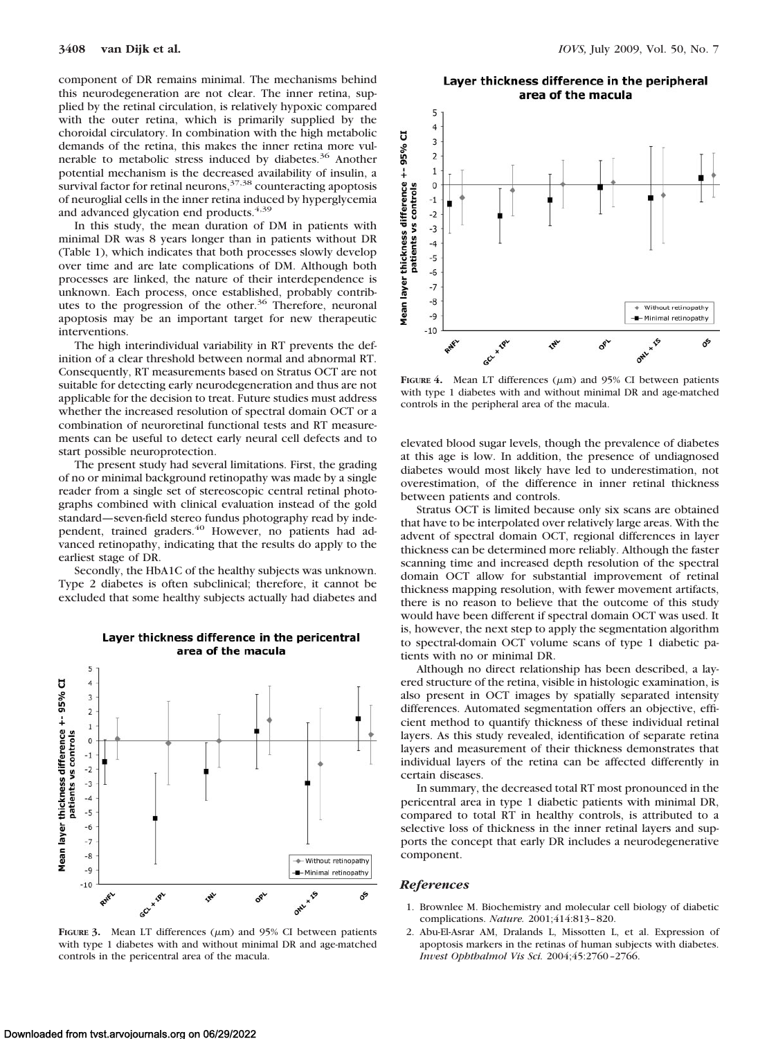component of DR remains minimal. The mechanisms behind this neurodegeneration are not clear. The inner retina, supplied by the retinal circulation, is relatively hypoxic compared with the outer retina, which is primarily supplied by the choroidal circulatory. In combination with the high metabolic demands of the retina, this makes the inner retina more vulnerable to metabolic stress induced by diabetes.<sup>36</sup> Another potential mechanism is the decreased availability of insulin, a survival factor for retinal neurons,  $37,38$  counteracting apoptosis of neuroglial cells in the inner retina induced by hyperglycemia and advanced glycation end products.<sup>4,39</sup>

In this study, the mean duration of DM in patients with minimal DR was 8 years longer than in patients without DR (Table 1), which indicates that both processes slowly develop over time and are late complications of DM. Although both processes are linked, the nature of their interdependence is unknown. Each process, once established, probably contributes to the progression of the other.<sup>36</sup> Therefore, neuronal apoptosis may be an important target for new therapeutic interventions.

The high interindividual variability in RT prevents the definition of a clear threshold between normal and abnormal RT. Consequently, RT measurements based on Stratus OCT are not suitable for detecting early neurodegeneration and thus are not applicable for the decision to treat. Future studies must address whether the increased resolution of spectral domain OCT or a combination of neuroretinal functional tests and RT measurements can be useful to detect early neural cell defects and to start possible neuroprotection.

The present study had several limitations. First, the grading of no or minimal background retinopathy was made by a single reader from a single set of stereoscopic central retinal photographs combined with clinical evaluation instead of the gold standard—seven-field stereo fundus photography read by independent, trained graders.<sup>40</sup> However, no patients had advanced retinopathy, indicating that the results do apply to the earliest stage of DR.

Secondly, the HbA1C of the healthy subjects was unknown. Type 2 diabetes is often subclinical; therefore, it cannot be excluded that some healthy subjects actually had diabetes and



#### Layer thickness difference in the pericentral area of the macula

**FIGURE** 3. Mean LT differences  $(\mu m)$  and 95% CI between patients with type 1 diabetes with and without minimal DR and age-matched controls in the pericentral area of the macula.

#### Layer thickness difference in the peripheral area of the macula



**FIGURE 4.** Mean LT differences  $(\mu m)$  and 95% CI between patients with type 1 diabetes with and without minimal DR and age-matched controls in the peripheral area of the macula.

elevated blood sugar levels, though the prevalence of diabetes at this age is low. In addition, the presence of undiagnosed diabetes would most likely have led to underestimation, not overestimation, of the difference in inner retinal thickness between patients and controls.

Stratus OCT is limited because only six scans are obtained that have to be interpolated over relatively large areas. With the advent of spectral domain OCT, regional differences in layer thickness can be determined more reliably. Although the faster scanning time and increased depth resolution of the spectral domain OCT allow for substantial improvement of retinal thickness mapping resolution, with fewer movement artifacts, there is no reason to believe that the outcome of this study would have been different if spectral domain OCT was used. It is, however, the next step to apply the segmentation algorithm to spectral-domain OCT volume scans of type 1 diabetic patients with no or minimal DR.

Although no direct relationship has been described, a layered structure of the retina, visible in histologic examination, is also present in OCT images by spatially separated intensity differences. Automated segmentation offers an objective, efficient method to quantify thickness of these individual retinal layers. As this study revealed, identification of separate retina layers and measurement of their thickness demonstrates that individual layers of the retina can be affected differently in certain diseases.

In summary, the decreased total RT most pronounced in the pericentral area in type 1 diabetic patients with minimal DR, compared to total RT in healthy controls, is attributed to a selective loss of thickness in the inner retinal layers and supports the concept that early DR includes a neurodegenerative component.

#### *References*

- 1. Brownlee M. Biochemistry and molecular cell biology of diabetic complications. *Nature.* 2001;414:813– 820.
- 2. Abu-El-Asrar AM, Dralands L, Missotten L, et al. Expression of apoptosis markers in the retinas of human subjects with diabetes. *Invest Ophthalmol Vis Sci.* 2004;45:2760 –2766.